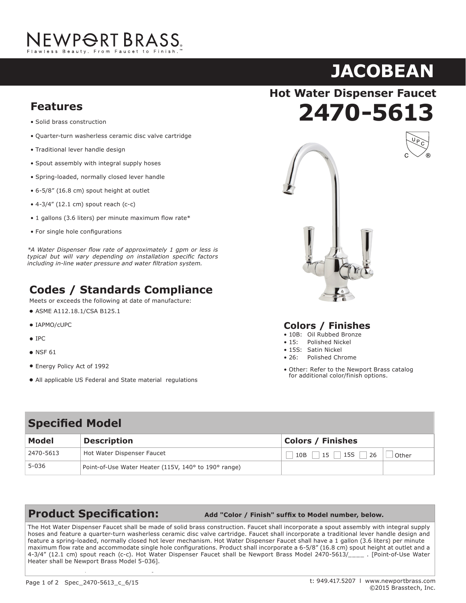# JEWP<del>O</del>RT BRASS.

# **JACOBEAN**

**70 - 544 7** 

**Hot Water Dispenser Faucet**

#### **Features** Solid brass construction **Features**

- Solid brass construction
- Traditional lever handle design • Quarter-turn washerless ceramic disc valve cartridge **Features**
- Spout assembly with integral supply hoses • Traditional lever handle design
- $S_{\rm p}$  and decreasing  $\mu$  matrices dependence in  $S_{\rm p}$  and  $S_{\rm p}$  are dependent of  $S_{\rm p}$ • Spout assembly with integral supply hoses
- Spring-loaded, normally closed lever handle
- $\frac{3}{4}$  $\bullet$  6-5/8" (16.8 cm) spout height at outlet
- 4-3/4" (12.1 cm) spout reach (c-c)
- 1 gallons (3.6 liters) per minute maximum flow rate\*
- For single hole configurations

**Compliance** *Louis Will vary depending on installation specific factors*<br>including in line water pressure and water filtration system.  $\mathcal{L}$  at date for the following at date of manufacture: *\*A Water Dispenser fl ow rate of approximately 1 gpm or less is*  including in-line water pressure and water filtration system.

## **Codes / Standards Compliance**

Meets or exceeds the following at date of manufacture:

- ■<br>IPLASME A112.18.1/CSA B125.1
- · IAPMO/cUPC
- Energy Policy Act of 1992  $\bullet$  IPC
- $\frac{1}{\sqrt{2\pi}}$  $\blacksquare$  NSF 61
- Energy Policy Act of 1992
- **All applicable US Federal and State material regulations**



### **Colors / Finishes**

- 10B: Oil Rubbed Bronze
- 15: Polished Nickel<br>• 15S: Satin Nickel • 15: Polished Nickel
- 
- 26: Polished Chrome
- Other: Refer to the Newport Brass catalog **Colors Action** Colors Colors Financies Colors Financies Colors *Colors* **Colors Colors Colors Colors Colors Colors Colors Colors Colors Colors Colors Colors Colors Colors Colors Colors Co**

### **Specified Model**

| Model     | <b>Description</b>                                   | <b>Colors / Finishes</b> |       |
|-----------|------------------------------------------------------|--------------------------|-------|
| 2470-5613 | Hot Water Dispenser Faucet                           | $15$ 15S<br>26<br>$10B$  | Other |
| 5-036     | Point-of-Use Water Heater (115V, 140° to 190° range) |                          |       |

**Product Specification:** Add "Color / Finish" suffix to Model number, below.

The Hot Water Dispenser Faucet shall be made of solid brass construction. Faucet shall incorporate a spout assembly with integral supply hoses and feature a quarter-turn washerless ceramic disc valve cartridge. Faucet shall incorporate a traditional lever handle design and maximum flow rate and accommodate single hole configurations. Product shall incorporate a 6-5/8" (16.8 cm) spout height at outlet and a 4-3/4" (12.1 cm) spout reach (c-c). Hot Water Dispenser Faucet shall be Newport Brass Model 2470-5613/\_\_\_\_\_. [Point-of-Use Water Heater shall be Newport Brass Model 5-036]. The contract of the contract of the contract of the contract of the contract of the contract of the contract of the contract of the contract of the contract of the contract of th feature a spring-loaded, normally closed hot lever mechanism. Hot Water Dispenser Faucet shall have a 1 gallon (3.6 liters) per minute